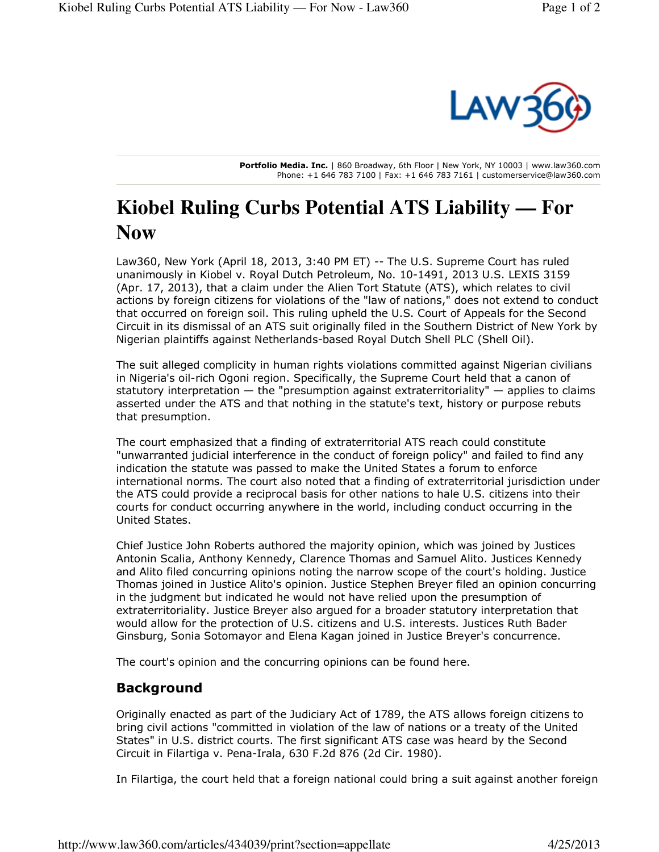

**Portfolio Media. Inc.** | 860 Broadway, 6th Floor | New York, NY 10003 | www.law360.com Phone: +1 646 783 7100 | Fax: +1 646 783 7161 | customerservice@law360.com

## **Kiobel Ruling Curbs Potential ATS Liability — For Now**

Law360, New York (April 18, 2013, 3:40 PM ET) -- The U.S. Supreme Court has ruled unanimously in Kiobel v. Royal Dutch Petroleum, No. 10-1491, 2013 U.S. LEXIS 3159 (Apr. 17, 2013), that a claim under the Alien Tort Statute (ATS), which relates to civil actions by foreign citizens for violations of the "law of nations," does not extend to conduct that occurred on foreign soil. This ruling upheld the U.S. Court of Appeals for the Second Circuit in its dismissal of an ATS suit originally filed in the Southern District of New York by Nigerian plaintiffs against Netherlands-based Royal Dutch Shell PLC (Shell Oil).

The suit alleged complicity in human rights violations committed against Nigerian civilians in Nigeria's oil-rich Ogoni region. Specifically, the Supreme Court held that a canon of statutory interpretation  $-$  the "presumption against extraterritoriality"  $-$  applies to claims asserted under the ATS and that nothing in the statute's text, history or purpose rebuts that presumption.

The court emphasized that a finding of extraterritorial ATS reach could constitute "unwarranted judicial interference in the conduct of foreign policy" and failed to find any indication the statute was passed to make the United States a forum to enforce international norms. The court also noted that a finding of extraterritorial jurisdiction under the ATS could provide a reciprocal basis for other nations to hale U.S. citizens into their courts for conduct occurring anywhere in the world, including conduct occurring in the United States.

Chief Justice John Roberts authored the majority opinion, which was joined by Justices Antonin Scalia, Anthony Kennedy, Clarence Thomas and Samuel Alito. Justices Kennedy and Alito filed concurring opinions noting the narrow scope of the court's holding. Justice Thomas joined in Justice Alito's opinion. Justice Stephen Breyer filed an opinion concurring in the judgment but indicated he would not have relied upon the presumption of extraterritoriality. Justice Breyer also argued for a broader statutory interpretation that would allow for the protection of U.S. citizens and U.S. interests. Justices Ruth Bader Ginsburg, Sonia Sotomayor and Elena Kagan joined in Justice Breyer's concurrence.

The court's opinion and the concurring opinions can be found here.

## **Background**

Originally enacted as part of the Judiciary Act of 1789, the ATS allows foreign citizens to bring civil actions "committed in violation of the law of nations or a treaty of the United States" in U.S. district courts. The first significant ATS case was heard by the Second Circuit in Filartiga v. Pena-Irala, 630 F.2d 876 (2d Cir. 1980).

In Filartiga, the court held that a foreign national could bring a suit against another foreign